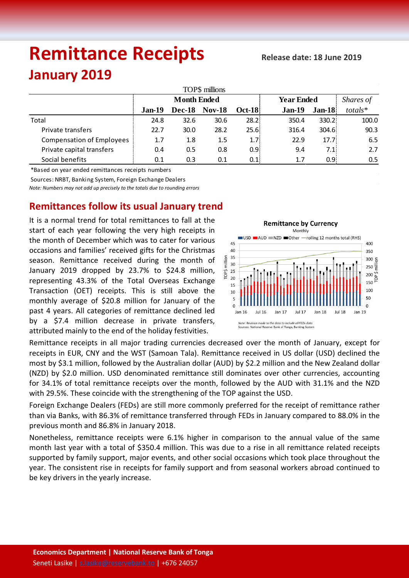# **Remittance Receipts**

## **January 2019**

| TOP\$ millions                   |                    |      |                      |                  |                   |               |           |  |  |  |  |  |
|----------------------------------|--------------------|------|----------------------|------------------|-------------------|---------------|-----------|--|--|--|--|--|
|                                  | <b>Month Ended</b> |      |                      |                  | <b>Year Ended</b> |               | Shares of |  |  |  |  |  |
|                                  | $Jan-19$           |      | <b>Dec-18 Nov-18</b> | <b>Oct-18</b>    | $Jan-19$          | <b>Jan-18</b> | totals*   |  |  |  |  |  |
| Total                            | 24.8               | 32.6 | 30.6                 | 28.2:            | 350.4             | 330.2         | 100.0     |  |  |  |  |  |
| Private transfers                | 22.7               | 30.0 | 28.2                 | 25.6:            | 316.4             | 304.6         | 90.3      |  |  |  |  |  |
| <b>Compensation of Employees</b> | 1.7                | 1.8  | $1.5\,$              | 1.7 <sub>i</sub> | 22.9              | 17.7          | 6.5       |  |  |  |  |  |
| Private capital transfers        | 0.4                | 0.5  | 0.8                  | 0.9 <sub>i</sub> | 9.4               | 7.1           | 2.7       |  |  |  |  |  |
| Social benefits                  | 0.1                | 0.3  | 0.1                  | 0.1              | 1.7               | 0.95          | 0.5       |  |  |  |  |  |

\*Based on year ended remittances receipts numbers

Sources: NRBT, Banking System, Foreign Exchange Dealers

*Note: Numbers may not add up precisely to the totals due to rounding errors*

### **Remittances follow its usual January trend**

It is a normal trend for total remittances to fall at the start of each year following the very high receipts in the month of December which was to cater for various occasions and families' received gifts for the Christmas season. Remittance received during the month of January 2019 dropped by 23.7% to \$24.8 million, representing 43.3% of the Total Overseas Exchange Transaction (OET) receipts. This is still above the monthly average of \$20.8 million for January of the past 4 years. All categories of remittance declined led by a \$7.4 million decrease in private transfers, attributed mainly to the end of the holiday festivities.



Remittance receipts in all major trading currencies decreased over the month of January, except for receipts in EUR, CNY and the WST (Samoan Tala). Remittance received in US dollar (USD) declined the most by \$3.1 million, followed by the Australian dollar (AUD) by \$2.2 million and the New Zealand dollar (NZD) by \$2.0 million. USD denominated remittance still dominates over other currencies, accounting for 34.1% of total remittance receipts over the month, followed by the AUD with 31.1% and the NZD with 29.5%. These coincide with the strengthening of the TOP against the USD.

Foreign Exchange Dealers (FEDs) are still more commonly preferred for the receipt of remittance rather than via Banks, with 86.3% of remittance transferred through FEDs in January compared to 88.0% in the previous month and 86.8% in January 2018.

Nonetheless, remittance receipts were 6.1% higher in comparison to the annual value of the same month last year with a total of \$350.4 million. This was due to a rise in all remittance related receipts supported by family support, major events, and other social occasions which took place throughout the year. The consistent rise in receipts for family support and from seasonal workers abroad continued to be key drivers in the yearly increase.